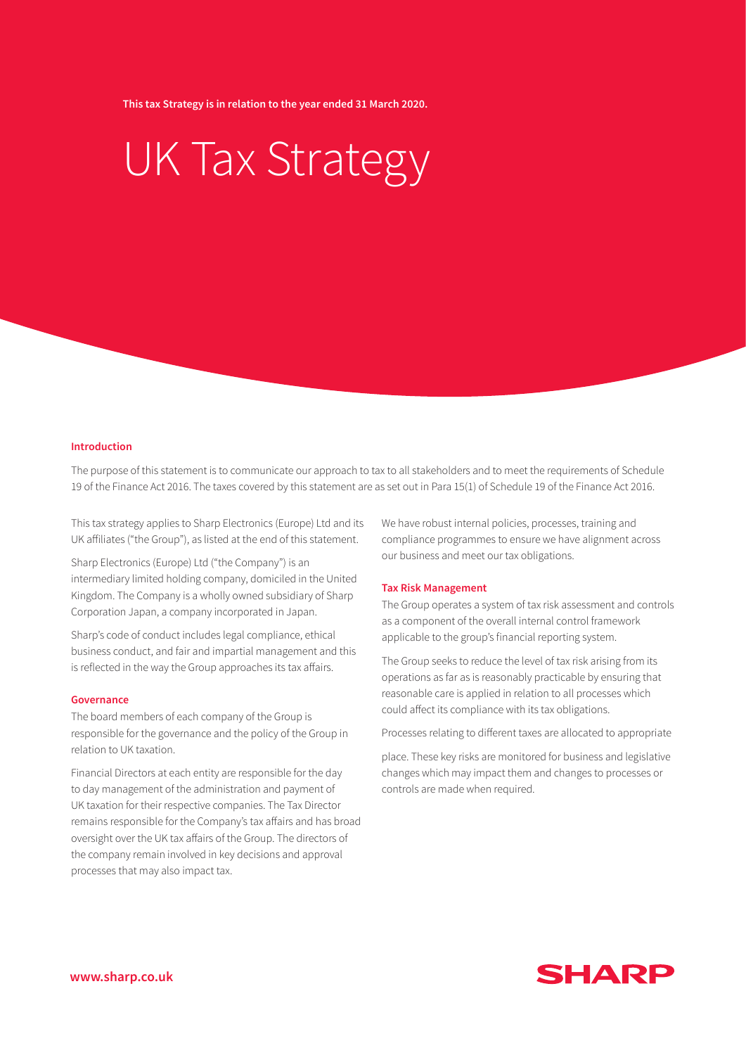**This tax Strategy is in relation to the year ended 31 March 2020.**

# UK Tax Strategy

## **Introduction**

The purpose of this statement is to communicate our approach to tax to all stakeholders and to meet the requirements of Schedule 19 of the Finance Act 2016. The taxes covered by this statement are as set out in Para 15(1) of Schedule 19 of the Finance Act 2016.

This tax strategy applies to Sharp Electronics (Europe) Ltd and its UK affiliates ("the Group"), as listed at the end of this statement.

Sharp Electronics (Europe) Ltd ("the Company") is an intermediary limited holding company, domiciled in the United Kingdom. The Company is a wholly owned subsidiary of Sharp Corporation Japan, a company incorporated in Japan.

Sharp's code of conduct includes legal compliance, ethical business conduct, and fair and impartial management and this is reflected in the way the Group approaches its tax affairs.

#### **Governance**

The board members of each company of the Group is responsible for the governance and the policy of the Group in relation to UK taxation.

Financial Directors at each entity are responsible for the day to day management of the administration and payment of UK taxation for their respective companies. The Tax Director remains responsible for the Company's tax affairs and has broad oversight over the UK tax affairs of the Group. The directors of the company remain involved in key decisions and approval processes that may also impact tax.

We have robust internal policies, processes, training and compliance programmes to ensure we have alignment across our business and meet our tax obligations.

### **Tax Risk Management**

The Group operates a system of tax risk assessment and controls as a component of the overall internal control framework applicable to the group's financial reporting system.

The Group seeks to reduce the level of tax risk arising from its operations as far as is reasonably practicable by ensuring that reasonable care is applied in relation to all processes which could affect its compliance with its tax obligations.

Processes relating to different taxes are allocated to appropriate

place. These key risks are monitored for business and legislative changes which may impact them and changes to processes or controls are made when required.